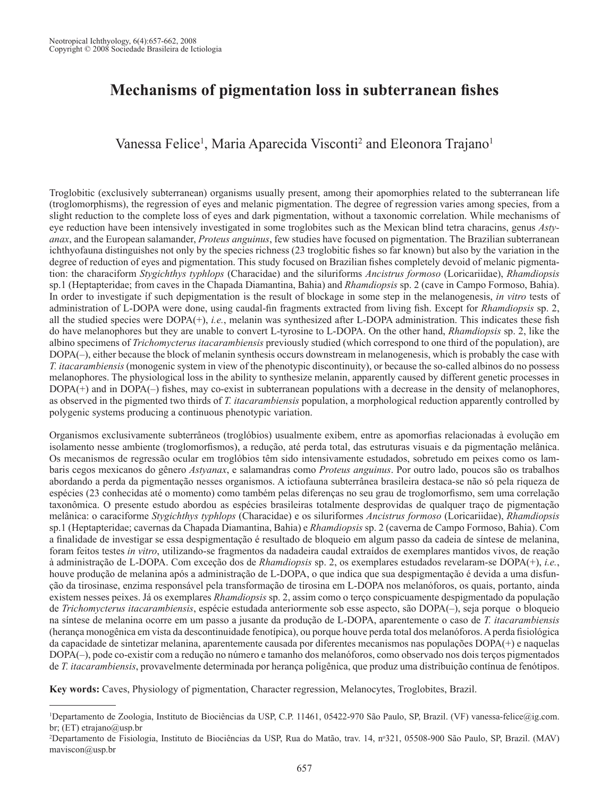# **Mechanisms of pigmentation loss in subterranean fishes**

# Vanessa Felice<sup>1</sup>, Maria Aparecida Visconti<sup>2</sup> and Eleonora Trajano<sup>1</sup>

Troglobitic (exclusively subterranean) organisms usually present, among their apomorphies related to the subterranean life (troglomorphisms), the regression of eyes and melanic pigmentation. The degree of regression varies among species, from a slight reduction to the complete loss of eyes and dark pigmentation, without a taxonomic correlation. While mechanisms of eye reduction have been intensively investigated in some troglobites such as the Mexican blind tetra characins, genus *Astyanax*, and the European salamander, *Proteus anguinus*, few studies have focused on pigmentation. The Brazilian subterranean ichthyofauna distinguishes not only by the species richness (23 troglobitic fishes so far known) but also by the variation in the degree of reduction of eyes and pigmentation. This study focused on Brazilian fishes completely devoid of melanic pigmentation: the characiform *Stygichthys typhlops* (Characidae) and the siluriforms *Ancistrus formoso* (Loricariidae), *Rhamdiopsis* sp.1 (Heptapteridae; from caves in the Chapada Diamantina, Bahia) and *Rhamdiopsis* sp. 2 (cave in Campo Formoso, Bahia). In order to investigate if such depigmentation is the result of blockage in some step in the melanogenesis, *in vitro* tests of administration of L-DOPA were done, using caudal-fin fragments extracted from living fish. Except for *Rhamdiopsis* sp. 2, all the studied species were DOPA(+), *i.e.*, melanin was synthesized after L-DOPA administration. This indicates these fish do have melanophores but they are unable to convert L-tyrosine to L-DOPA. On the other hand, *Rhamdiopsis* sp. 2, like the albino specimens of *Trichomycterus itacarambiensis* previously studied (which correspond to one third of the population), are DOPA(–), either because the block of melanin synthesis occurs downstream in melanogenesis, which is probably the case with *T. itacarambiensis* (monogenic system in view of the phenotypic discontinuity), or because the so-called albinos do no possess melanophores. The physiological loss in the ability to synthesize melanin, apparently caused by different genetic processes in DOPA(+) and in DOPA(-) fishes, may co-exist in subterranean populations with a decrease in the density of melanophores, as observed in the pigmented two thirds of *T. itacarambiensis* population, a morphological reduction apparently controlled by polygenic systems producing a continuous phenotypic variation.

Organismos exclusivamente subterrâneos (troglóbios) usualmente exibem, entre as apomorfias relacionadas à evolução em isolamento nesse ambiente (troglomorfismos), a redução, até perda total, das estruturas visuais e da pigmentação melânica. Os mecanismos de regressão ocular em troglóbios têm sido intensivamente estudados, sobretudo em peixes como os lambaris cegos mexicanos do gênero *Astyanax*, e salamandras como *Proteus anguinus*. Por outro lado, poucos são os trabalhos abordando a perda da pigmentação nesses organismos. A ictiofauna subterrânea brasileira destaca-se não só pela riqueza de espécies (23 conhecidas até o momento) como também pelas diferenças no seu grau de troglomorfismo, sem uma correlação taxonômica. O presente estudo abordou as espécies brasileiras totalmente desprovidas de qualquer traço de pigmentação melânica: o caraciforme *Stygichthys typhlops* (Characidae) e os siluriformes *Ancistrus formoso* (Loricariidae), *Rhamdiopsis* sp.1 (Heptapteridae; cavernas da Chapada Diamantina, Bahia) e *Rhamdiopsis* sp. 2 (caverna de Campo Formoso, Bahia). Com a finalidade de investigar se essa despigmentação é resultado de bloqueio em algum passo da cadeia de síntese de melanina, foram feitos testes *in vitro*, utilizando-se fragmentos da nadadeira caudal extraídos de exemplares mantidos vivos, de reação à administração de L-DOPA. Com exceção dos de *Rhamdiopsis* sp. 2, os exemplares estudados revelaram-se DOPA(+), *i.e.*, houve produção de melanina após a administração de L-DOPA, o que indica que sua despigmentação é devida a uma disfunção da tirosinase, enzima responsável pela transformação de tirosina em L-DOPA nos melanóforos, os quais, portanto, ainda existem nesses peixes. Já os exemplares *Rhamdiopsis* sp. 2, assim como o terço conspicuamente despigmentado da população de *Trichomycterus itacarambiensis*, espécie estudada anteriormente sob esse aspecto, são DOPA(–), seja porque o bloqueio na síntese de melanina ocorre em um passo a jusante da produção de L-DOPA, aparentemente o caso de *T. itacarambiensis* (herança monogênica em vista da descontinuidade fenotípica), ou porque houve perda total dos melanóforos. A perda fisiológica da capacidade de sintetizar melanina, aparentemente causada por diferentes mecanismos nas populações DOPA(+) e naquelas DOPA(–), pode co-existir com a redução no número e tamanho dos melanóforos, como observado nos dois terços pigmentados de *T. itacarambiensis*, provavelmente determinada por herança poligênica, que produz uma distribuição contínua de fenótipos.

**Key words:** Caves, Physiology of pigmentation, Character regression, Melanocytes, Troglobites, Brazil.

<sup>1</sup> Departamento de Zoologia, Instituto de Biociências da USP, C.P. 11461, 05422-970 São Paulo, SP, Brazil. (VF) vanessa-felice@ig.com. br; (ET) etrajano@usp.br

<sup>2</sup> Departamento de Fisiologia, Instituto de Biociências da USP, Rua do Matão, trav. 14, n<sup>o</sup> 321, 05508-900 São Paulo, SP, Brazil. (MAV) maviscon@usp.br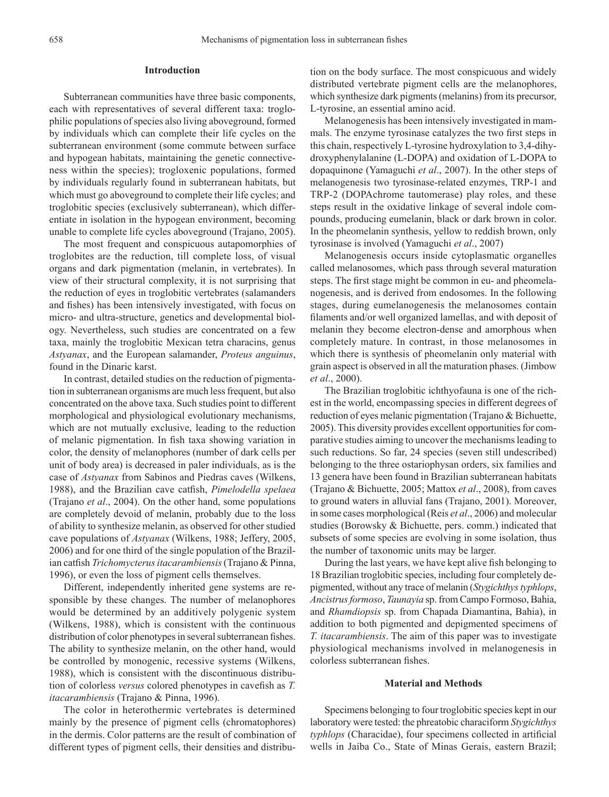# **Introduction**

Subterranean communities have three basic components, each with representatives of several different taxa: troglophilic populations of species also living aboveground, formed by individuals which can complete their life cycles on the subterranean environment (some commute between surface and hypogean habitats, maintaining the genetic connectiveness within the species); trogloxenic populations, formed by individuals regularly found in subterranean habitats, but which must go aboveground to complete their life cycles; and troglobitic species (exclusively subterranean), which differentiate in isolation in the hypogean environment, becoming unable to complete life cycles aboveground (Trajano, 2005).

The most frequent and conspicuous autapomorphies of troglobites are the reduction, till complete loss, of visual organs and dark pigmentation (melanin, in vertebrates). In view of their structural complexity, it is not surprising that the reduction of eyes in troglobitic vertebrates (salamanders and fishes) has been intensively investigated, with focus on micro- and ultra-structure, genetics and developmental biology. Nevertheless, such studies are concentrated on a few taxa, mainly the troglobitic Mexican tetra characins, genus *Astyanax*, and the European salamander, *Proteus anguinus*, found in the Dinaric karst.

In contrast, detailed studies on the reduction of pigmentation in subterranean organisms are much less frequent, but also concentrated on the above taxa. Such studies point to different morphological and physiological evolutionary mechanisms, which are not mutually exclusive, leading to the reduction of melanic pigmentation. In fish taxa showing variation in color, the density of melanophores (number of dark cells per unit of body area) is decreased in paler individuals, as is the case of *Astyanax* from Sabinos and Piedras caves (Wilkens, 1988), and the Brazilian cave catfish, *Pimelodella spelaea* (Trajano *et al*., 2004). On the other hand, some populations are completely devoid of melanin, probably due to the loss of ability to synthesize melanin, as observed for other studied cave populations of *Astyanax* (Wilkens, 1988; Jeffery, 2005, 2006) and for one third of the single population of the Brazilian catfish *Trichomycterus itacarambiensis* (Trajano & Pinna, 1996), or even the loss of pigment cells themselves.

Different, independently inherited gene systems are responsible by these changes. The number of melanophores would be determined by an additively polygenic system (Wilkens, 1988), which is consistent with the continuous distribution of color phenotypes in several subterranean fishes. The ability to synthesize melanin, on the other hand, would be controlled by monogenic, recessive systems (Wilkens, 1988), which is consistent with the discontinuous distribution of colorless *versus* colored phenotypes in cavefish as *T. itacarambiensis* (Trajano & Pinna, 1996).

The color in heterothermic vertebrates is determined mainly by the presence of pigment cells (chromatophores) in the dermis. Color patterns are the result of combination of different types of pigment cells, their densities and distribution on the body surface. The most conspicuous and widely distributed vertebrate pigment cells are the melanophores, which synthesize dark pigments (melanins) from its precursor, L-tyrosine, an essential amino acid.

Melanogenesis has been intensively investigated in mammals. The enzyme tyrosinase catalyzes the two first steps in this chain, respectively L-tyrosine hydroxylation to 3,4-dihydroxyphenylalanine (L-DOPA) and oxidation of L-DOPA to dopaquinone (Yamaguchi *et al*., 2007). In the other steps of melanogenesis two tyrosinase-related enzymes, TRP-1 and TRP-2 (DOPAchrome tautomerase) play roles, and these steps result in the oxidative linkage of several indole compounds, producing eumelanin, black or dark brown in color. In the pheomelanin synthesis, yellow to reddish brown, only tyrosinase is involved (Yamaguchi *et al*., 2007)

Melanogenesis occurs inside cytoplasmatic organelles called melanosomes, which pass through several maturation steps. The first stage might be common in eu- and pheomelanogenesis, and is derived from endosomes. In the following stages, during eumelanogenesis the melanosomes contain filaments and/or well organized lamellas, and with deposit of melanin they become electron-dense and amorphous when completely mature. In contrast, in those melanosomes in which there is synthesis of pheomelanin only material with grain aspect is observed in all the maturation phases. (Jimbow *et al*., 2000).

The Brazilian troglobitic ichthyofauna is one of the richest in the world, encompassing species in different degrees of reduction of eyes melanic pigmentation (Trajano & Bichuette, 2005). This diversity provides excellent opportunities for comparative studies aiming to uncover the mechanisms leading to such reductions. So far, 24 species (seven still undescribed) belonging to the three ostariophysan orders, six families and 13 genera have been found in Brazilian subterranean habitats (Trajano & Bichuette, 2005; Mattox *et al*., 2008), from caves to ground waters in alluvial fans (Trajano, 2001). Moreover, in some cases morphological (Reis *et al*., 2006) and molecular studies (Borowsky & Bichuette, pers. comm.) indicated that subsets of some species are evolving in some isolation, thus the number of taxonomic units may be larger.

During the last years, we have kept alive fish belonging to 18 Brazilian troglobitic species, including four completely depigmented, without any trace of melanin (*Stygichthys typhlops*, *Ancistrus formoso*, *Taunayia* sp. from Campo Formoso, Bahia, and *Rhamdiopsis* sp. from Chapada Diamantina, Bahia), in addition to both pigmented and depigmented specimens of *T. itacarambiensis*. The aim of this paper was to investigate physiological mechanisms involved in melanogenesis in colorless subterranean fishes.

#### **Material and Methods**

Specimens belonging to four troglobitic species kept in our laboratory were tested: the phreatobic characiform *Stygichthys typhlops* (Characidae), four specimens collected in artificial wells in Jaíba Co., State of Minas Gerais, eastern Brazil;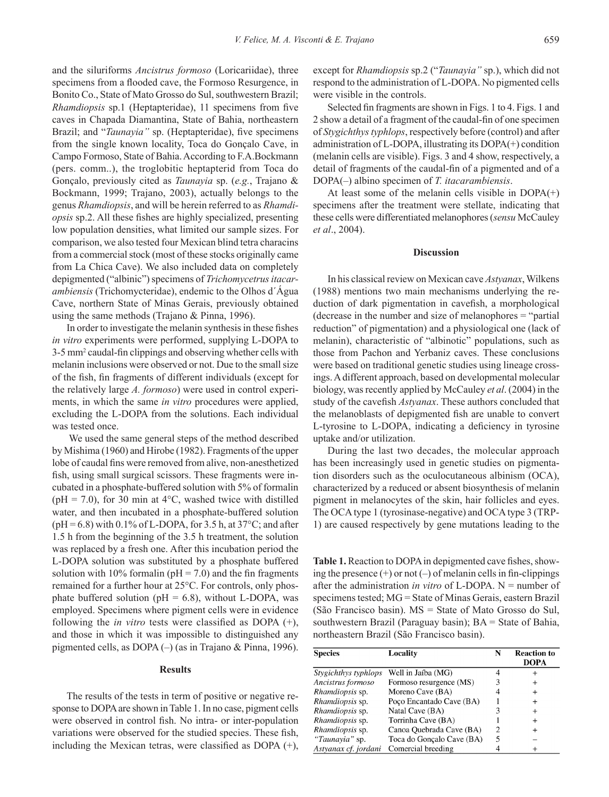and the siluriforms *Ancistrus formoso* (Loricariidae), three specimens from a flooded cave, the Formoso Resurgence, in Bonito Co., State of Mato Grosso do Sul, southwestern Brazil; *Rhamdiopsis* sp.1 (Heptapteridae), 11 specimens from five caves in Chapada Diamantina, State of Bahia, northeastern Brazil; and "*Taunayia"* sp. (Heptapteridae), five specimens from the single known locality, Toca do Gonçalo Cave, in Campo Formoso, State of Bahia. According to F.A.Bockmann (pers. comm..), the troglobitic heptapterid from Toca do Gonçalo, previously cited as *Taunayia* sp. (*e.g.*, Trajano & Bockmann, 1999; Trajano, 2003), actually belongs to the genus *Rhamdiopsis*, and will be herein referred to as *Rhamdiopsis* sp.2. All these fishes are highly specialized, presenting low population densities, what limited our sample sizes. For comparison, we also tested four Mexican blind tetra characins from a commercial stock (most of these stocks originally came from La Chica Cave). We also included data on completely depigmented ("albinic") specimens of *Trichomycetrus itacarambiensis* (Trichomycteridae), endemic to the Olhos d´Água Cave, northern State of Minas Gerais, previously obtained using the same methods (Trajano & Pinna, 1996).

In order to investigate the melanin synthesis in these fishes *in vitro* experiments were performed, supplying L-DOPA to 3-5 mm2 caudal-fin clippings and observing whether cells with melanin inclusions were observed or not. Due to the small size of the fish, fin fragments of different individuals (except for the relatively large *A. formoso*) were used in control experiments, in which the same *in vitro* procedures were applied, excluding the L-DOPA from the solutions. Each individual was tested once.

 We used the same general steps of the method described by Mishima (1960) and Hirobe (1982). Fragments of the upper lobe of caudal fins were removed from alive, non-anesthetized fish, using small surgical scissors. These fragments were incubated in a phosphate-buffered solution with 5% of formalin (pH = 7.0), for 30 min at  $4^{\circ}$ C, washed twice with distilled water, and then incubated in a phosphate-buffered solution ( $pH = 6.8$ ) with 0.1% of L-DOPA, for 3.5 h, at 37°C; and after 1.5 h from the beginning of the 3.5 h treatment, the solution was replaced by a fresh one. After this incubation period the L-DOPA solution was substituted by a phosphate buffered solution with 10% formalin ( $pH = 7.0$ ) and the fin fragments remained for a further hour at 25°C. For controls, only phosphate buffered solution ( $pH = 6.8$ ), without L-DOPA, was employed. Specimens where pigment cells were in evidence following the *in vitro* tests were classified as DOPA (+), and those in which it was impossible to distinguished any pigmented cells, as DOPA (–) (as in Trajano & Pinna, 1996).

### **Results**

The results of the tests in term of positive or negative response to DOPA are shown in Table 1. In no case, pigment cells were observed in control fish. No intra- or inter-population variations were observed for the studied species. These fish, including the Mexican tetras, were classified as DOPA (+), except for *Rhamdiopsis* sp.2 ("*Taunayia"* sp.), which did not respond to the administration of L-DOPA. No pigmented cells were visible in the controls.

Selected fin fragments are shown in Figs. 1 to 4. Figs. 1 and 2 show a detail of a fragment of the caudal-fin of one specimen of *Stygichthys typhlops*, respectively before (control) and after administration of L-DOPA, illustrating its DOPA(+) condition (melanin cells are visible). Figs. 3 and 4 show, respectively, a detail of fragments of the caudal-fin of a pigmented and of a DOPA(–) albino specimen of *T. itacarambiensis*.

At least some of the melanin cells visible in  $DOPA(+)$ specimens after the treatment were stellate, indicating that these cells were differentiated melanophores (*sensu* McCauley *et al*., 2004).

#### **Discussion**

In his classical review on Mexican cave *Astyanax*, Wilkens (1988) mentions two main mechanisms underlying the reduction of dark pigmentation in cavefish, a morphological (decrease in the number and size of melanophores = "partial reduction" of pigmentation) and a physiological one (lack of melanin), characteristic of "albinotic" populations, such as those from Pachon and Yerbaniz caves. These conclusions were based on traditional genetic studies using lineage crossings. A different approach, based on developmental molecular biology, was recently applied by McCauley *et al*. (2004) in the study of the cavefish *Astyanax*. These authors concluded that the melanoblasts of depigmented fish are unable to convert L-tyrosine to L-DOPA, indicating a deficiency in tyrosine uptake and/or utilization.

During the last two decades, the molecular approach has been increasingly used in genetic studies on pigmentation disorders such as the oculocutaneous albinism (OCA), characterized by a reduced or absent biosynthesis of melanin pigment in melanocytes of the skin, hair follicles and eyes. The OCA type 1 (tyrosinase-negative) and OCA type 3 (TRP-1) are caused respectively by gene mutations leading to the

**Table 1.** Reaction to DOPA in depigmented cave fishes, showing the presence  $(+)$  or not  $(-)$  of melanin cells in fin-clippings after the administration *in vitro* of L-DOPA. N = number of specimens tested; MG = State of Minas Gerais, eastern Brazil (São Francisco basin). MS = State of Mato Grosso do Sul, southwestern Brazil (Paraguay basin); BA = State of Bahia, northeastern Brazil (São Francisco basin).

| Locality                  | N | <b>Reaction to</b><br><b>DOPA</b> |
|---------------------------|---|-----------------------------------|
| Well in Jaíba (MG)        |   |                                   |
| Formoso resurgence (MS)   | 3 | $\div$                            |
| Moreno Cave (BA)          |   |                                   |
| Poco Encantado Cave (BA)  |   |                                   |
| Natal Cave (BA)           |   |                                   |
| Torrinha Cave (BA)        |   |                                   |
| Canoa Quebrada Cave (BA)  | 2 |                                   |
| Toca do Gonçalo Cave (BA) | 5 |                                   |
| Comercial breeding        |   |                                   |
|                           |   |                                   |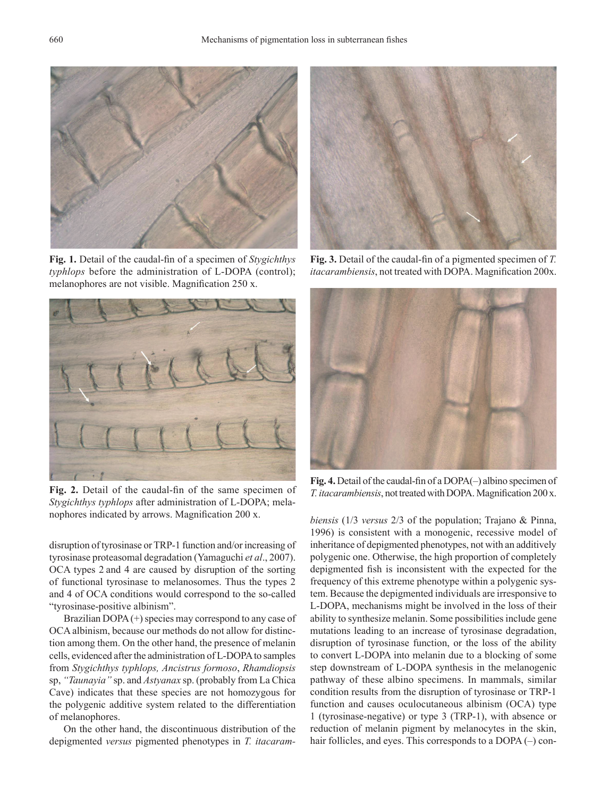

**Fig. 1.** Detail of the caudal-fin of a specimen of *Stygichthys typhlops* before the administration of L-DOPA (control); melanophores are not visible. Magnification 250 x.



**Fig. 2.** Detail of the caudal-fin of the same specimen of *Stygichthys typhlops* after administration of L-DOPA; melanophores indicated by arrows. Magnification 200 x.

disruption of tyrosinase or TRP-1 function and/or increasing of tyrosinase proteasomal degradation (Yamaguchi *et al*., 2007). OCA types 2 and 4 are caused by disruption of the sorting of functional tyrosinase to melanosomes. Thus the types 2 and 4 of OCA conditions would correspond to the so-called "tyrosinase-positive albinism".

Brazilian DOPA (+) species may correspond to any case of OCA albinism, because our methods do not allow for distinction among them. On the other hand, the presence of melanin cells, evidenced after the administration of L-DOPA to samples from *Stygichthys typhlops, Ancistrus formoso*, *Rhamdiopsis* sp, *"Taunayia"* sp. and *Astyanax* sp. (probably from La Chica Cave) indicates that these species are not homozygous for the polygenic additive system related to the differentiation of melanophores.

On the other hand, the discontinuous distribution of the depigmented *versus* pigmented phenotypes in *T. itacaram-*



**Fig. 3.** Detail of the caudal-fin of a pigmented specimen of *T. itacarambiensis*, not treated with DOPA. Magnification 200x.



**Fig. 4.** Detail of the caudal-fin of a DOPA(–) albino specimen of *T. itacarambiensis*, not treated with DOPA. Magnification 200 x.

*biensis* (1/3 *versus* 2/3 of the population; Trajano & Pinna, 1996) is consistent with a monogenic, recessive model of inheritance of depigmented phenotypes, not with an additively polygenic one. Otherwise, the high proportion of completely depigmented fish is inconsistent with the expected for the frequency of this extreme phenotype within a polygenic system. Because the depigmented individuals are irresponsive to L-DOPA, mechanisms might be involved in the loss of their ability to synthesize melanin. Some possibilities include gene mutations leading to an increase of tyrosinase degradation, disruption of tyrosinase function, or the loss of the ability to convert L-DOPA into melanin due to a blocking of some step downstream of L-DOPA synthesis in the melanogenic pathway of these albino specimens. In mammals, similar condition results from the disruption of tyrosinase or TRP-1 function and causes oculocutaneous albinism (OCA) type 1 (tyrosinase-negative) or type 3 (TRP-1), with absence or reduction of melanin pigment by melanocytes in the skin, hair follicles, and eyes. This corresponds to a DOPA (–) con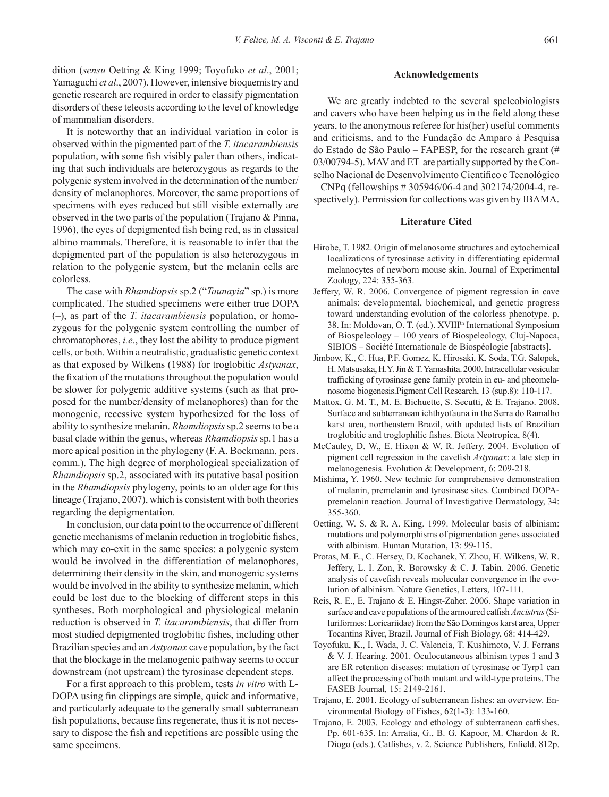dition (*sensu* Oetting & King 1999; Toyofuko *et al*., 2001; Yamaguchi *et al*., 2007). However, intensive bioquemistry and genetic research are required in order to classify pigmentation disorders of these teleosts according to the level of knowledge of mammalian disorders.

It is noteworthy that an individual variation in color is observed within the pigmented part of the *T. itacarambiensis* population, with some fish visibly paler than others, indicating that such individuals are heterozygous as regards to the polygenic system involved in the determination of the number/ density of melanophores. Moreover, the same proportions of specimens with eyes reduced but still visible externally are observed in the two parts of the population (Trajano & Pinna, 1996), the eyes of depigmented fish being red, as in classical albino mammals. Therefore, it is reasonable to infer that the depigmented part of the population is also heterozygous in relation to the polygenic system, but the melanin cells are colorless.

The case with *Rhamdiopsis* sp.2 ("*Taunayia*" sp.) is more complicated. The studied specimens were either true DOPA (–), as part of the *T. itacarambiensis* population, or homozygous for the polygenic system controlling the number of chromatophores, *i.e*., they lost the ability to produce pigment cells, or both. Within a neutralistic, gradualistic genetic context as that exposed by Wilkens (1988) for troglobitic *Astyanax*, the fixation of the mutations throughout the population would be slower for polygenic additive systems (such as that proposed for the number/density of melanophores) than for the monogenic, recessive system hypothesized for the loss of ability to synthesize melanin. *Rhamdiopsis* sp.2 seems to be a basal clade within the genus, whereas *Rhamdiopsis* sp.1 has a more apical position in the phylogeny (F. A. Bockmann, pers. comm.). The high degree of morphological specialization of *Rhamdiopsis* sp.2, associated with its putative basal position in the *Rhamdiopsis* phylogeny, points to an older age for this lineage (Trajano, 2007), which is consistent with both theories regarding the depigmentation.

In conclusion, our data point to the occurrence of different genetic mechanisms of melanin reduction in troglobitic fishes, which may co-exit in the same species: a polygenic system would be involved in the differentiation of melanophores, determining their density in the skin, and monogenic systems would be involved in the ability to synthesize melanin, which could be lost due to the blocking of different steps in this syntheses. Both morphological and physiological melanin reduction is observed in *T. itacarambiensis*, that differ from most studied depigmented troglobitic fishes, including other Brazilian species and an *Astyanax* cave population, by the fact that the blockage in the melanogenic pathway seems to occur downstream (not upstream) the tyrosinase dependent steps.

For a first approach to this problem, tests *in vitro* with L-DOPA using fin clippings are simple, quick and informative, and particularly adequate to the generally small subterranean fish populations, because fins regenerate, thus it is not necessary to dispose the fish and repetitions are possible using the same specimens.

## **Acknowledgements**

We are greatly indebted to the several speleobiologists and cavers who have been helping us in the field along these years, to the anonymous referee for his(her) useful comments and criticisms, and to the Fundação de Amparo à Pesquisa do Estado de São Paulo – FAPESP, for the research grant (# 03/00794-5). MAV and ET are partially supported by the Conselho Nacional de Desenvolvimento Científico e Tecnológico – CNPq (fellowships # 305946/06-4 and 302174/2004-4, respectively). Permission for collections was given by IBAMA.

#### **Literature Cited**

- Hirobe, T. 1982. Origin of melanosome structures and cytochemical localizations of tyrosinase activity in differentiating epidermal melanocytes of newborn mouse skin. Journal of Experimental Zoology, 224: 355-363.
- Jeffery, W. R. 2006. Convergence of pigment regression in cave animals: developmental, biochemical, and genetic progress toward understanding evolution of the colorless phenotype. p. 38. In: Moldovan, O. T. (ed.). XVIII<sup>th</sup> International Symposium of Biospeleology – 100 years of Biospeleology, Cluj-Napoca, SIBIOS – Société Internationale de Biospéologie [abstracts].
- Jimbow, K., C. Hua, P.F. Gomez, K. Hirosaki, K. Soda, T.G. Salopek, H. Matsusaka, H.Y. Jin & T. Yamashita. 2000. Intracellular vesicular trafficking of tyrosinase gene family protein in eu- and pheomelanosome biogenesis.Pigment Cell Research, 13 (sup.8): 110-117.
- Mattox, G. M. T., M. E. Bichuette, S. Secutti, & E. Trajano. 2008. Surface and subterranean ichthyofauna in the Serra do Ramalho karst area, northeastern Brazil, with updated lists of Brazilian troglobitic and troglophilic fishes. Biota Neotropica, 8(4).
- McCauley, D. W., E. Hixon & W. R. Jeffery. 2004. Evolution of pigment cell regression in the cavefish *Astyanax*: a late step in melanogenesis. Evolution & Development, 6: 209-218.
- Mishima, Y. 1960. New technic for comprehensive demonstration of melanin, premelanin and tyrosinase sites. Combined DOPApremelanin reaction. Journal of Investigative Dermatology, 34: 355-360.
- Oetting, W. S. & R. A. King. 1999. Molecular basis of albinism: mutations and polymorphisms of pigmentation genes associated with albinism. Human Mutation, 13: 99-115.
- Protas, M. E., C. Hersey, D. Kochanek, Y. Zhou, H. Wilkens, W. R. Jeffery, L. I. Zon, R. Borowsky & C. J. Tabin. 2006. Genetic analysis of cavefish reveals molecular convergence in the evolution of albinism. Nature Genetics, Letters, 107-111.
- Reis, R. E., E. Trajano & E. Hingst-Zaher. 2006. Shape variation in surface and cave populations of the armoured catfish *Ancistrus* (Siluriformes: Loricariidae) from the São Domingos karst area, Upper Tocantins River, Brazil. Journal of Fish Biology, 68: 414-429.
- Toyofuku, K., I. Wada, J. C. Valencia, T. Kushimoto, V. J. Ferrans & V. J. Hearing. 2001. Oculocutaneous albinism types 1 and 3 are ER retention diseases: mutation of tyrosinase or Tyrp1 can affect the processing of both mutant and wild-type proteins. The FASEB Journal*,* 15: 2149-2161.
- Trajano, E. 2001. Ecology of subterranean fishes: an overview. Environmental Biology of Fishes, 62(1-3): 133-160.
- Trajano, E. 2003. Ecology and ethology of subterranean catfishes. Pp. 601-635. In: Arratia, G., B. G. Kapoor, M. Chardon & R. Diogo (eds.). Catfishes, v. 2. Science Publishers, Enfield. 812p.